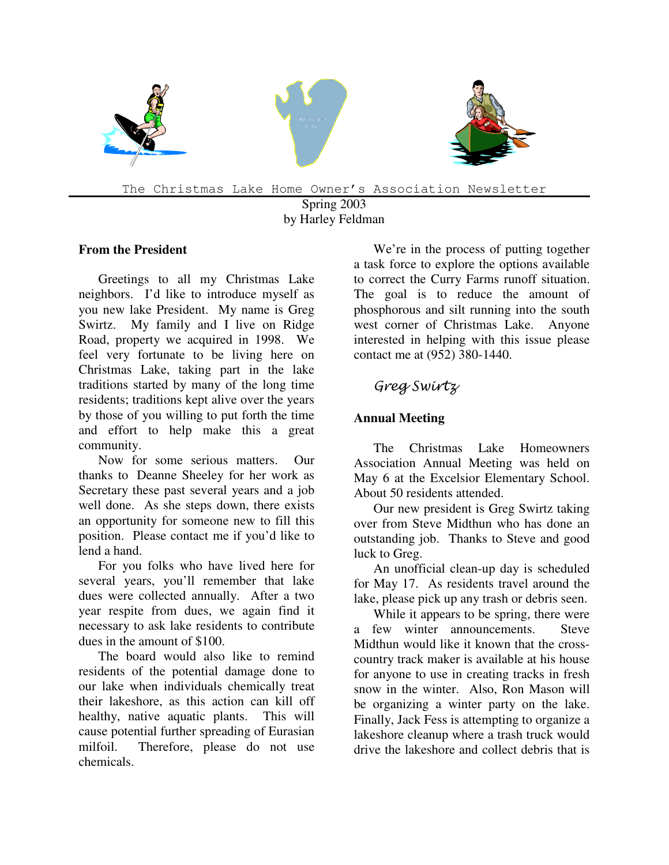

The Christmas Lake Home Owner's Association Newsletter

Spring 2003 by Harley Feldman

#### **From the President**

Greetings to all my Christmas Lake neighbors. I'd like to introduce myself as you new lake President. My name is Greg Swirtz. My family and I live on Ridge Road, property we acquired in 1998. We feel very fortunate to be living here on Christmas Lake, taking part in the lake traditions started by many of the long time residents; traditions kept alive over the years by those of you willing to put forth the time and effort to help make this a great community.

Now for some serious matters. Our thanks to Deanne Sheeley for her work as Secretary these past several years and a job well done. As she steps down, there exists an opportunity for someone new to fill this position. Please contact me if you'd like to lend a hand.

For you folks who have lived here for several years, you'll remember that lake dues were collected annually. After a two year respite from dues, we again find it necessary to ask lake residents to contribute dues in the amount of \$100.

The board would also like to remind residents of the potential damage done to our lake when individuals chemically treat their lakeshore, as this action can kill off healthy, native aquatic plants. This will cause potential further spreading of Eurasian milfoil. Therefore, please do not use chemicals.

We're in the process of putting together a task force to explore the options available to correct the Curry Farms runoff situation. The goal is to reduce the amount of phosphorous and silt running into the south west corner of Christmas Lake. Anyone interested in helping with this issue please contact me at (952) 380-1440.

# Greg Swirtz

#### **Annual Meeting**

The Christmas Lake Homeowners Association Annual Meeting was held on May 6 at the Excelsior Elementary School. About 50 residents attended.

Our new president is Greg Swirtz taking over from Steve Midthun who has done an outstanding job. Thanks to Steve and good luck to Greg.

An unofficial clean-up day is scheduled for May 17. As residents travel around the lake, please pick up any trash or debris seen.

While it appears to be spring, there were a few winter announcements. Steve Midthun would like it known that the crosscountry track maker is available at his house for anyone to use in creating tracks in fresh snow in the winter. Also, Ron Mason will be organizing a winter party on the lake. Finally, Jack Fess is attempting to organize a lakeshore cleanup where a trash truck would drive the lakeshore and collect debris that is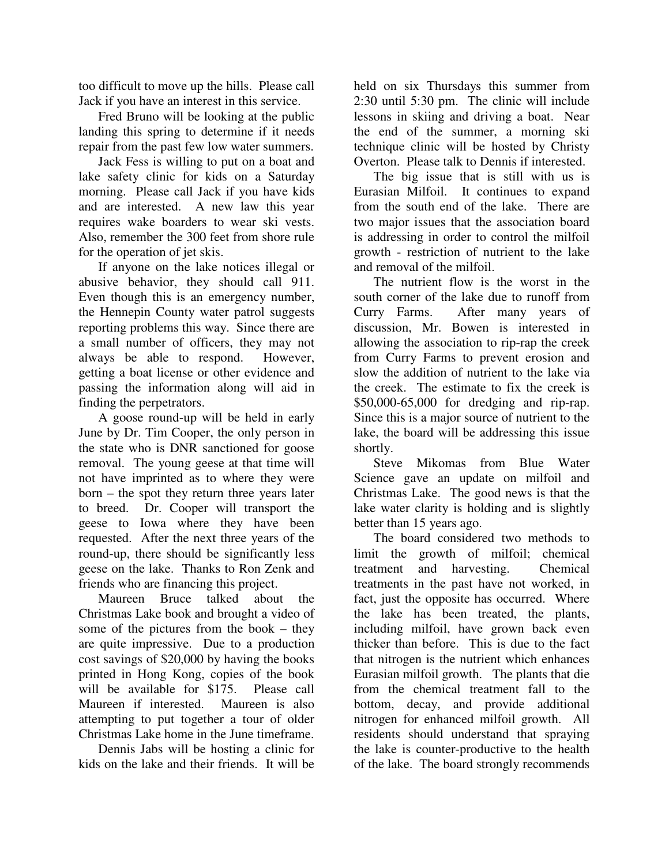too difficult to move up the hills. Please call Jack if you have an interest in this service.

Fred Bruno will be looking at the public landing this spring to determine if it needs repair from the past few low water summers.

Jack Fess is willing to put on a boat and lake safety clinic for kids on a Saturday morning. Please call Jack if you have kids and are interested. A new law this year requires wake boarders to wear ski vests. Also, remember the 300 feet from shore rule for the operation of jet skis.

If anyone on the lake notices illegal or abusive behavior, they should call 911. Even though this is an emergency number, the Hennepin County water patrol suggests reporting problems this way. Since there are a small number of officers, they may not always be able to respond. However, getting a boat license or other evidence and passing the information along will aid in finding the perpetrators.

A goose round-up will be held in early June by Dr. Tim Cooper, the only person in the state who is DNR sanctioned for goose removal. The young geese at that time will not have imprinted as to where they were born – the spot they return three years later to breed. Dr. Cooper will transport the geese to Iowa where they have been requested. After the next three years of the round-up, there should be significantly less geese on the lake. Thanks to Ron Zenk and friends who are financing this project.

Maureen Bruce talked about the Christmas Lake book and brought a video of some of the pictures from the book – they are quite impressive. Due to a production cost savings of \$20,000 by having the books printed in Hong Kong, copies of the book will be available for \$175. Please call Maureen if interested. Maureen is also attempting to put together a tour of older Christmas Lake home in the June timeframe.

Dennis Jabs will be hosting a clinic for kids on the lake and their friends. It will be

held on six Thursdays this summer from 2:30 until 5:30 pm. The clinic will include lessons in skiing and driving a boat. Near the end of the summer, a morning ski technique clinic will be hosted by Christy Overton. Please talk to Dennis if interested.

The big issue that is still with us is Eurasian Milfoil. It continues to expand from the south end of the lake. There are two major issues that the association board is addressing in order to control the milfoil growth - restriction of nutrient to the lake and removal of the milfoil.

The nutrient flow is the worst in the south corner of the lake due to runoff from Curry Farms. After many years of discussion, Mr. Bowen is interested in allowing the association to rip-rap the creek from Curry Farms to prevent erosion and slow the addition of nutrient to the lake via the creek. The estimate to fix the creek is \$50,000-65,000 for dredging and rip-rap. Since this is a major source of nutrient to the lake, the board will be addressing this issue shortly.

Steve Mikomas from Blue Water Science gave an update on milfoil and Christmas Lake. The good news is that the lake water clarity is holding and is slightly better than 15 years ago.

The board considered two methods to limit the growth of milfoil; chemical treatment and harvesting. Chemical treatments in the past have not worked, in fact, just the opposite has occurred. Where the lake has been treated, the plants, including milfoil, have grown back even thicker than before. This is due to the fact that nitrogen is the nutrient which enhances Eurasian milfoil growth. The plants that die from the chemical treatment fall to the bottom, decay, and provide additional nitrogen for enhanced milfoil growth. All residents should understand that spraying the lake is counter-productive to the health of the lake. The board strongly recommends